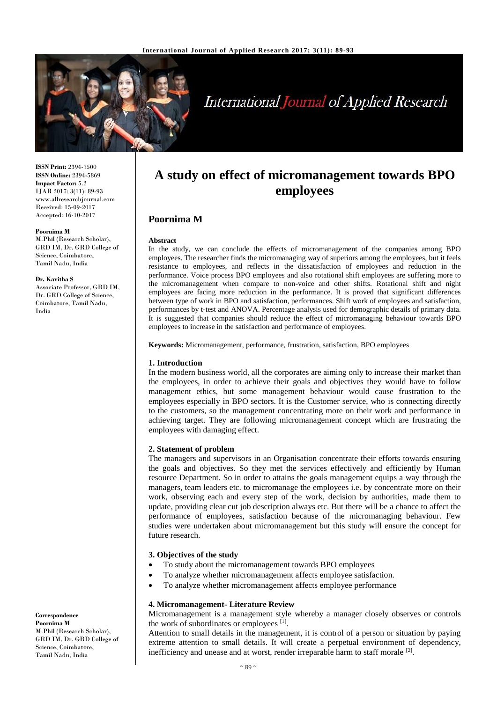

# **International Journal of Applied Research**

**ISSN Print:** 2394-7500 **ISSN Online:** 2394-5869 **Impact Factor:** 5.2 IJAR 2017; 3(11): 89-93 www.allresearchjournal.com Received: 15-09-2017 Accepted: 16-10-2017

#### **Poornima M**

M.Phil (Research Scholar), GRD IM, Dr. GRD College of Science, Coimbatore, Tamil Nadu, India

#### **Dr. Kavitha S**

Associate Professor, GRD IM, Dr. GRD College of Science, Coimbatore, Tamil Nadu, India

## **A study on effect of micromanagement towards BPO employees**

### **Poornima M**

#### **Abstract**

In the study, we can conclude the effects of micromanagement of the companies among BPO employees. The researcher finds the micromanaging way of superiors among the employees, but it feels resistance to employees, and reflects in the dissatisfaction of employees and reduction in the performance. Voice process BPO employees and also rotational shift employees are suffering more to the micromanagement when compare to non-voice and other shifts. Rotational shift and night employees are facing more reduction in the performance. It is proved that significant differences between type of work in BPO and satisfaction, performances. Shift work of employees and satisfaction, performances by t-test and ANOVA. Percentage analysis used for demographic details of primary data. It is suggested that companies should reduce the effect of micromanaging behaviour towards BPO employees to increase in the satisfaction and performance of employees.

**Keywords:** Micromanagement, performance, frustration, satisfaction, BPO employees

#### **1. Introduction**

In the modern business world, all the corporates are aiming only to increase their market than the employees, in order to achieve their goals and objectives they would have to follow management ethics, but some management behaviour would cause frustration to the employees especially in BPO sectors. It is the Customer service, who is connecting directly to the customers, so the management concentrating more on their work and performance in achieving target. They are following micromanagement concept which are frustrating the employees with damaging effect.

#### **2. Statement of problem**

The managers and supervisors in an Organisation concentrate their efforts towards ensuring the goals and objectives. So they met the services effectively and efficiently by Human resource Department. So in order to attains the goals management equips a way through the managers, team leaders etc. to micromanage the employees i.e. by concentrate more on their work, observing each and every step of the work, decision by authorities, made them to update, providing clear cut job description always etc. But there will be a chance to affect the performance of employees, satisfaction because of the micromanaging behaviour. Few studies were undertaken about micromanagement but this study will ensure the concept for future research.

#### **3. Objectives of the study**

- To study about the micromanagement towards BPO employees
- To analyze whether micromanagement affects employee satisfaction.
- To analyze whether micromanagement affects employee performance

#### **4. Micromanagement- Literature Review**

Micromanagement is a management style whereby a manager closely observes or controls the work of subordinates or employees [1].

Attention to small details in the management, it is control of a person or situation by paying extreme attention to small details. It will create a perpetual environment of dependency, inefficiency and unease and at worst, render irreparable harm to staff morale <sup>[2]</sup>.

**Correspondence Poornima M** M.Phil (Research Scholar), GRD IM, Dr. GRD College of Science, Coimbatore, Tamil Nadu, India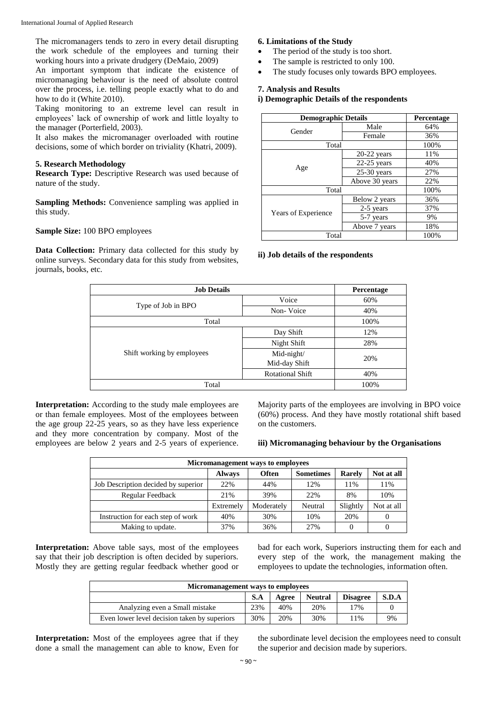The micromanagers tends to zero in every detail disrupting the work schedule of the employees and turning their working hours into a private drudgery (DeMaio, 2009)

An important symptom that indicate the existence of micromanaging behaviour is the need of absolute control over the process, i.e. telling people exactly what to do and how to do it (White 2010).

Taking monitoring to an extreme level can result in employees' lack of ownership of work and little loyalty to the manager (Porterfield, 2003).

It also makes the micromanager overloaded with routine decisions, some of which border on triviality (Khatri, 2009).

#### **5. Research Methodology**

**Research Type:** Descriptive Research was used because of nature of the study.

**Sampling Methods:** Convenience sampling was applied in this study.

#### **Sample Size:** 100 BPO employees

**Data Collection:** Primary data collected for this study by online surveys. Secondary data for this study from websites, journals, books, etc.

#### **6. Limitations of the Study**

- The period of the study is too short.
- The sample is restricted to only 100.
- The study focuses only towards BPO employees.

#### **7. Analysis and Results**

#### **i) Demographic Details of the respondents**

| <b>Demographic Details</b> |                | Percentage |
|----------------------------|----------------|------------|
| Gender                     | Male           | 64%        |
|                            | Female         | 36%        |
| Total                      |                | 100%       |
|                            | 20-22 years    | 11%        |
| Age                        | $22-25$ years  | 40%        |
|                            | $25-30$ years  | 27%        |
|                            | Above 30 years | 22%        |
| Total                      |                | 100%       |
|                            | Below 2 years  | 36%        |
|                            | 2-5 years      | 37%        |
| Years of Experience        | 5-7 years      | 9%         |
|                            | Above 7 years  | 18%        |
| Total                      |                | 100%       |

#### **ii) Job details of the respondents**

| <b>Job Details</b>         |                             | Percentage |
|----------------------------|-----------------------------|------------|
| Type of Job in BPO         | Voice                       | 60%        |
|                            | Non-Voice                   | 40%        |
| Total                      | 100%                        |            |
| Shift working by employees | Day Shift                   | 12%        |
|                            | Night Shift                 | 28%        |
|                            | Mid-night/<br>Mid-day Shift | 20%        |
|                            | <b>Rotational Shift</b>     | 40%        |
| Total                      |                             | 100%       |

**Interpretation:** According to the study male employees are or than female employees. Most of the employees between the age group 22-25 years, so as they have less experience and they more concentration by company. Most of the employees are below 2 years and 2-5 years of experience. Majority parts of the employees are involving in BPO voice (60%) process. And they have mostly rotational shift based on the customers.

#### **iii) Micromanaging behaviour by the Organisations**

| Micromanagement ways to employees   |               |            |                  |               |            |  |
|-------------------------------------|---------------|------------|------------------|---------------|------------|--|
|                                     | <b>Always</b> | Often      | <b>Sometimes</b> | <b>Rarely</b> | Not at all |  |
| Job Description decided by superior | 22%           | 44%        | 12%              | 11%           | 11%        |  |
| Regular Feedback                    | 21%           | 39%        | 22%              | 8%            | 10%        |  |
|                                     | Extremely     | Moderately | Neutral          | Slightly      | Not at all |  |
| Instruction for each step of work   | 40%           | 30%        | 10%              | 20%           | $\theta$   |  |
| Making to update.                   | 37%           | 36%        | 27%              |               | O          |  |

**Interpretation:** Above table says, most of the employees say that their job description is often decided by superiors. Mostly they are getting regular feedback whether good or bad for each work, Superiors instructing them for each and every step of the work, the management making the employees to update the technologies, information often.

| Micromanagement ways to employees            |     |       |                |                 |       |
|----------------------------------------------|-----|-------|----------------|-----------------|-------|
|                                              | S.A | Agree | <b>Neutral</b> | <b>Disagree</b> | S.D.A |
| Analyzing even a Small mistake               | 23% | 40%   | 20%            | 17%             |       |
| Even lower level decision taken by superiors | 30% | 20%   | 30%            | 11%             | 9%    |

**Interpretation:** Most of the employees agree that if they done a small the management can able to know, Even for

the subordinate level decision the employees need to consult the superior and decision made by superiors.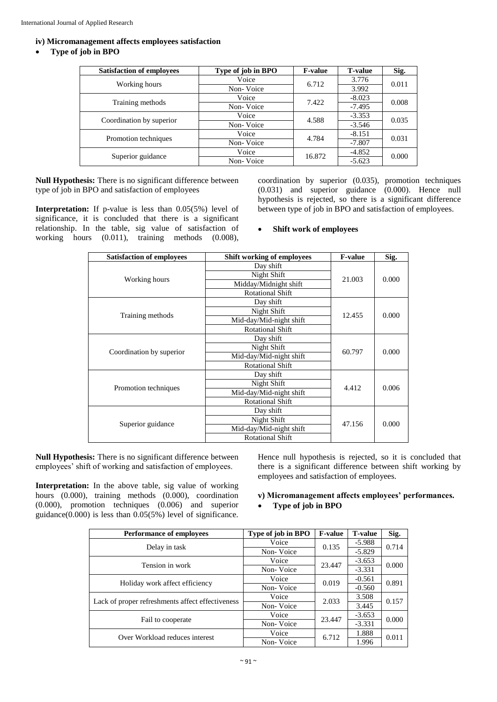#### **iv) Micromanagement affects employees satisfaction**

#### **Type of job in BPO**

| <b>Satisfaction of employees</b> | Type of job in BPO | <b>F-value</b> | <b>T-value</b> | Sig.  |
|----------------------------------|--------------------|----------------|----------------|-------|
|                                  | Voice              | 6.712          | 3.776          | 0.011 |
| Working hours                    | Non-Voice          |                | 3.992          |       |
|                                  | Voice              | 7.422          | $-8.023$       | 0.008 |
| Training methods                 | Non-Voice          |                | $-7.495$       |       |
| Coordination by superior         | Voice              | 4.588          | $-3.353$       | 0.035 |
|                                  | Non-Voice          |                | $-3.546$       |       |
|                                  | Voice              | 4.784          | $-8.151$       | 0.031 |
| Promotion techniques             | Non-Voice          |                | $-7.807$       |       |
| Superior guidance                | Voice              | 16.872         | $-4.852$       | 0.000 |
|                                  | Non-Voice          |                | $-5.623$       |       |

**Null Hypothesis:** There is no significant difference between type of job in BPO and satisfaction of employees

**Interpretation:** If p-value is less than 0.05(5%) level of significance, it is concluded that there is a significant relationship. In the table, sig value of satisfaction of working hours (0.011), training methods (0.008),

coordination by superior (0.035), promotion techniques (0.031) and superior guidance (0.000). Hence null hypothesis is rejected, so there is a significant difference between type of job in BPO and satisfaction of employees.

#### **Shift work of employees**

| <b>Satisfaction of employees</b> | <b>Shift working of employees</b>                                        | <b>F-value</b> | Sig.  |
|----------------------------------|--------------------------------------------------------------------------|----------------|-------|
|                                  | Day shift                                                                |                |       |
|                                  | Night Shift                                                              | 21.003         | 0.000 |
| Working hours                    | Midday/Midnight shift                                                    |                |       |
|                                  | <b>Rotational Shift</b>                                                  |                |       |
|                                  | Day shift                                                                |                |       |
|                                  | Night Shift                                                              | 12.455         |       |
| Training methods                 | Mid-day/Mid-night shift                                                  |                | 0.000 |
|                                  | <b>Rotational Shift</b>                                                  |                |       |
|                                  | Day shift                                                                |                |       |
|                                  | Night Shift                                                              | 60.797         | 0.000 |
| Coordination by superior         | Mid-day/Mid-night shift                                                  |                |       |
|                                  | <b>Rotational Shift</b>                                                  |                |       |
|                                  | Day shift                                                                |                |       |
|                                  | Night Shift                                                              |                |       |
| Promotion techniques             | Mid-day/Mid-night shift                                                  | 4.412          | 0.006 |
|                                  | <b>Rotational Shift</b>                                                  |                |       |
|                                  | Day shift<br>Night Shift<br>Superior guidance<br>Mid-day/Mid-night shift |                | 0.000 |
|                                  |                                                                          |                |       |
|                                  |                                                                          |                |       |

**Null Hypothesis:** There is no significant difference between employees' shift of working and satisfaction of employees.

**Interpretation:** In the above table, sig value of working hours (0.000), training methods (0.000), coordination (0.000), promotion techniques (0.006) and superior guidance( $0.000$ ) is less than  $0.05(5%)$  level of significance. Hence null hypothesis is rejected, so it is concluded that there is a significant difference between shift working by employees and satisfaction of employees.

#### **v) Micromanagement affects employees' performances.**

#### **Type of job in BPO**

| <b>Performance of employees</b>                  | Type of job in BPO | <b>F-value</b> | <b>T-value</b> | Sig.  |
|--------------------------------------------------|--------------------|----------------|----------------|-------|
| Delay in task                                    | Voice              | 0.135          | $-5.988$       | 0.714 |
|                                                  | Non-Voice          |                | $-5.829$       |       |
| Tension in work                                  | Voice              |                | $-3.653$       | 0.000 |
|                                                  | Non-Voice          | 23.447         | $-3.331$       |       |
| Holiday work affect efficiency                   | Voice              |                | $-0.561$       | 0.891 |
|                                                  | Non-Voice          | 0.019          | $-0.560$       |       |
|                                                  | Voice              | 2.033          | 3.508          | 0.157 |
| Lack of proper refreshments affect effectiveness | Non-Voice          |                | 3.445          |       |
|                                                  | Voice              | 23.447         | $-3.653$       | 0.000 |
| Fail to cooperate                                | Non-Voice          |                | $-3.331$       |       |
| Over Workload reduces interest                   | Voice              | 6.712          | 1.888          | 0.011 |
|                                                  | Non-Voice          |                | 1.996          |       |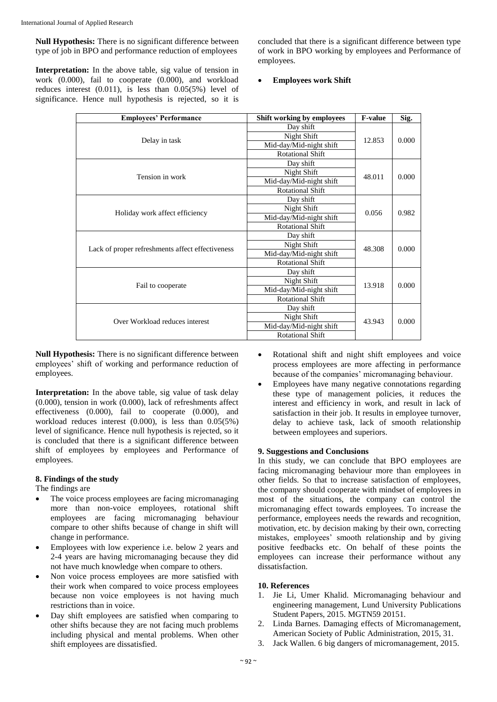**Null Hypothesis:** There is no significant difference between type of job in BPO and performance reduction of employees

Interpretation: In the above table, sig value of tension in work (0.000), fail to cooperate (0.000), and workload reduces interest (0.011), is less than 0.05(5%) level of significance. Hence null hypothesis is rejected, so it is concluded that there is a significant difference between type of work in BPO working by employees and Performance of employees.

#### **Employees work Shift**

| <b>Employees' Performance</b>  | <b>Shift working by employees</b>                                                          | <b>F-value</b> | Sig.  |
|--------------------------------|--------------------------------------------------------------------------------------------|----------------|-------|
|                                | Day shift                                                                                  | 12.853         | 0.000 |
|                                | Night Shift                                                                                |                |       |
| Delay in task                  | Mid-day/Mid-night shift                                                                    |                |       |
|                                | <b>Rotational Shift</b>                                                                    |                |       |
|                                | Day shift<br>Night Shift                                                                   |                |       |
| Tension in work                |                                                                                            |                |       |
|                                | Mid-day/Mid-night shift                                                                    | 48.011         | 0.000 |
|                                | <b>Rotational Shift</b>                                                                    |                |       |
|                                | Day shift                                                                                  |                | 0.982 |
|                                | Night Shift                                                                                | 0.056          |       |
|                                | Holiday work affect efficiency<br>Mid-day/Mid-night shift                                  |                |       |
|                                | <b>Rotational Shift</b>                                                                    |                |       |
|                                | Day shift                                                                                  |                |       |
|                                | Night Shift<br>Lack of proper refreshments affect effectiveness<br>Mid-day/Mid-night shift |                | 0.000 |
|                                |                                                                                            |                |       |
|                                | <b>Rotational Shift</b>                                                                    |                |       |
|                                | Day shift                                                                                  |                |       |
|                                | Night Shift                                                                                |                |       |
| Fail to cooperate              | Mid-day/Mid-night shift                                                                    | 13.918         | 0.000 |
|                                | <b>Rotational Shift</b>                                                                    |                |       |
|                                | Day shift                                                                                  |                |       |
| Over Workload reduces interest | Night Shift<br>Mid-day/Mid-night shift                                                     |                | 0.000 |
|                                |                                                                                            |                |       |

**Null Hypothesis:** There is no significant difference between employees' shift of working and performance reduction of employees.

**Interpretation:** In the above table, sig value of task delay (0.000), tension in work (0.000), lack of refreshments affect effectiveness (0.000), fail to cooperate (0.000), and workload reduces interest (0.000), is less than 0.05(5%) level of significance. Hence null hypothesis is rejected, so it is concluded that there is a significant difference between shift of employees by employees and Performance of employees.

#### **8. Findings of the study**

The findings are

- The voice process employees are facing micromanaging more than non-voice employees, rotational shift employees are facing micromanaging behaviour compare to other shifts because of change in shift will change in performance.
- Employees with low experience i.e. below 2 years and 2-4 years are having micromanaging because they did not have much knowledge when compare to others.
- Non voice process employees are more satisfied with their work when compared to voice process employees because non voice employees is not having much restrictions than in voice.
- Day shift employees are satisfied when comparing to other shifts because they are not facing much problems including physical and mental problems. When other shift employees are dissatisfied.
- Rotational shift and night shift employees and voice process employees are more affecting in performance because of the companies' micromanaging behaviour.
- Employees have many negative connotations regarding these type of management policies, it reduces the interest and efficiency in work, and result in lack of satisfaction in their job. It results in employee turnover, delay to achieve task, lack of smooth relationship between employees and superiors.

#### **9. Suggestions and Conclusions**

In this study, we can conclude that BPO employees are facing micromanaging behaviour more than employees in other fields. So that to increase satisfaction of employees, the company should cooperate with mindset of employees in most of the situations, the company can control the micromanaging effect towards employees. To increase the performance, employees needs the rewards and recognition, motivation, etc. by decision making by their own, correcting mistakes, employees' smooth relationship and by giving positive feedbacks etc. On behalf of these points the employees can increase their performance without any dissatisfaction.

#### **10. References**

- 1. Jie Li, Umer Khalid. Micromanaging behaviour and engineering management, Lund University Publications Student Papers, 2015. MGTN59 20151.
- 2. Linda Barnes. Damaging effects of Micromanagement, American Society of Public Administration, 2015, 31.
- 3. Jack Wallen. 6 big dangers of micromanagement, 2015.